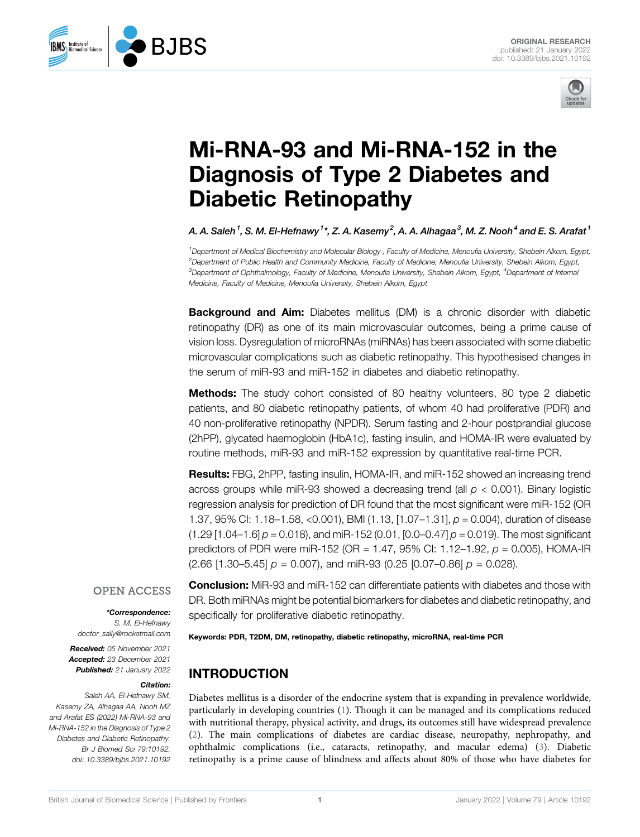

# [Mi-RNA-93 and Mi-RNA-152 in the](https://www.frontiersin.org/articles/10.3389/bjbs.2021.10192/full) [Diagnosis of Type 2 Diabetes and](https://www.frontiersin.org/articles/10.3389/bjbs.2021.10192/full) [Diabetic Retinopathy](https://www.frontiersin.org/articles/10.3389/bjbs.2021.10192/full)

A. A. Saleh $^1$ , S. M. El-Hefnawy  $^1{}^*$ , Z. A. Kasemy $^2$ , A. A. Alhagaa $^3$ , M. Z. Nooh $^4$  and E. S. Arafat  $^1$ 

1 Department of Medical Biochemistry and Molecular Biology , Faculty of Medicine, Menoufia University, Shebein Alkom, Egypt, 2 Department of Public Health and Community Medicine, Faculty of Medicine, Menoufia University, Shebein Alkom, Egypt, <sup>3</sup>Department of Ophthalmology, Faculty of Medicine, Menoufia University, Shebein Alkom, Egypt, <sup>4</sup>Department of Internal Medicine, Faculty of Medicine, Menoufia University, Shebein Alkom, Egypt

**Background and Aim:** Diabetes mellitus (DM) is a chronic disorder with diabetic retinopathy (DR) as one of its main microvascular outcomes, being a prime cause of vision loss. Dysregulation of microRNAs (miRNAs) has been associated with some diabetic microvascular complications such as diabetic retinopathy. This hypothesised changes in the serum of miR-93 and miR-152 in diabetes and diabetic retinopathy.

Methods: The study cohort consisted of 80 healthy volunteers, 80 type 2 diabetic patients, and 80 diabetic retinopathy patients, of whom 40 had proliferative (PDR) and 40 non-proliferative retinopathy (NPDR). Serum fasting and 2-hour postprandial glucose (2hPP), glycated haemoglobin (HbA1c), fasting insulin, and HOMA-IR were evaluated by routine methods, miR-93 and miR-152 expression by quantitative real-time PCR.

Results: FBG, 2hPP, fasting insulin, HOMA-IR, and miR-152 showed an increasing trend across groups while miR-93 showed a decreasing trend (all  $p < 0.001$ ). Binary logistic regression analysis for prediction of DR found that the most significant were miR-152 (OR 1.37, 95% CI: 1.18–1.58, <0.001), BMI (1.13, [1.07–1.31],  $p = 0.004$ ), duration of disease  $(1.29 [1.04-1.6] p = 0.018)$ , and miR-152 (0.01, [0.0-0.47]  $p = 0.019$ ). The most significant predictors of PDR were miR-152 (OR = 1.47, 95% CI: 1.12–1.92,  $p = 0.005$ ), HOMA-IR  $(2.66 [1.30-5.45] p = 0.007)$ , and miR-93  $(0.25 [0.07-0.86] p = 0.028)$ .

#### **OPEN ACCESS**

#### \*Correspondence:

S. M. El-Hefnawy [doctor\\_sally@rocketmail.com](mailto:doctor_sally@rocketmail.com)

Received: 05 November 2021 Accepted: 23 December 2021 Published: 21 January 2022

#### Citation:

**R.IRS** 

**BMS** Institute of **BMS** Biomedical Science

Saleh AA, El-Hefnawy SM, Kasemy ZA, Alhagaa AA, Nooh MZ and Arafat ES (2022) Mi-RNA-93 and Mi-RNA-152 in the Diagnosis of Type 2 Diabetes and Diabetic Retinopathy. Br J Biomed Sci 79:10192. doi: [10.3389/bjbs.2021.10192](https://doi.org/10.3389/bjbs.2021.10192)

**Conclusion:** MiR-93 and miR-152 can differentiate patients with diabetes and those with DR. Both miRNAs might be potential biomarkers for diabetes and diabetic retinopathy, and specifically for proliferative diabetic retinopathy.

Keywords: PDR, T2DM, DM, retinopathy, diabetic retinopathy, microRNA, real-time PCR

## INTRODUCTION

Diabetes mellitus is a disorder of the endocrine system that is expanding in prevalence worldwide, particularly in developing countries [\(1\)](#page-5-0). Though it can be managed and its complications reduced with nutritional therapy, physical activity, and drugs, its outcomes still have widespread prevalence ([2\)](#page-5-1). The main complications of diabetes are cardiac disease, neuropathy, nephropathy, and ophthalmic complications (i.e., cataracts, retinopathy, and macular edema) ([3](#page-5-2)). Diabetic retinopathy is a prime cause of blindness and affects about 80% of those who have diabetes for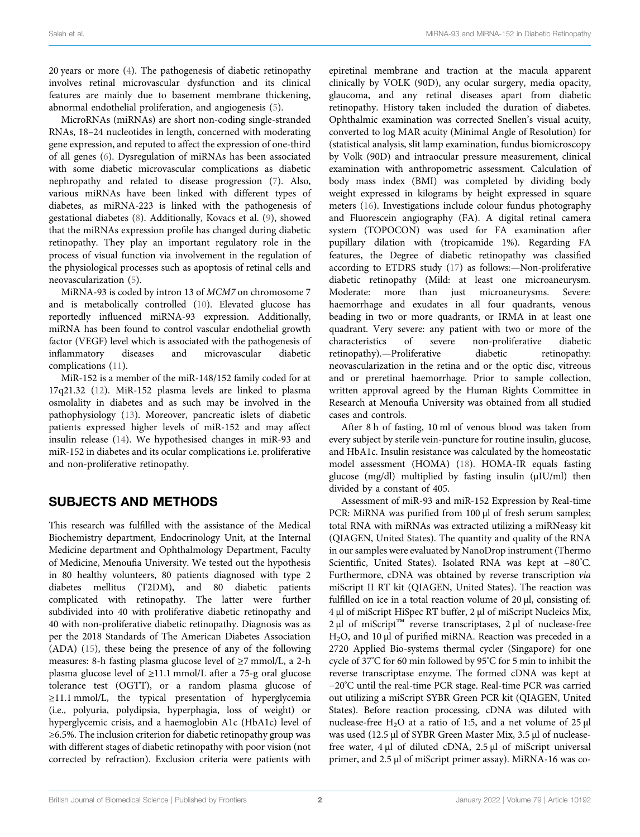20 years or more ([4](#page-5-3)). The pathogenesis of diabetic retinopathy involves retinal microvascular dysfunction and its clinical features are mainly due to basement membrane thickening, abnormal endothelial proliferation, and angiogenesis ([5](#page-5-4)).

MicroRNAs (miRNAs) are short non-coding single-stranded RNAs, 18–24 nucleotides in length, concerned with moderating gene expression, and reputed to affect the expression of one-third of all genes [\(6\)](#page-5-5). Dysregulation of miRNAs has been associated with some diabetic microvascular complications as diabetic nephropathy and related to disease progression ([7](#page-5-6)). Also, various miRNAs have been linked with different types of diabetes, as miRNA-223 is linked with the pathogenesis of gestational diabetes [\(8\)](#page-5-7). Additionally, Kovacs et al. [\(9\)](#page-5-8), showed that the miRNAs expression profile has changed during diabetic retinopathy. They play an important regulatory role in the process of visual function via involvement in the regulation of the physiological processes such as apoptosis of retinal cells and neovascularization [\(5\)](#page-5-4).

MiRNA-93 is coded by intron 13 of MCM7 on chromosome 7 and is metabolically controlled [\(10](#page-5-9)). Elevated glucose has reportedly influenced miRNA-93 expression. Additionally, miRNA has been found to control vascular endothelial growth factor (VEGF) level which is associated with the pathogenesis of inflammatory diseases and microvascular diabetic complications ([11\)](#page-5-10).

MiR-152 is a member of the miR-148/152 family coded for at 17q21.32 ([12](#page-5-11)). MiR-152 plasma levels are linked to plasma osmolality in diabetes and as such may be involved in the pathophysiology [\(13](#page-5-12)). Moreover, pancreatic islets of diabetic patients expressed higher levels of miR-152 and may affect insulin release ([14](#page-5-13)). We hypothesised changes in miR-93 and miR-152 in diabetes and its ocular complications i.e. proliferative and non-proliferative retinopathy.

#### SUBJECTS AND METHODS

This research was fulfilled with the assistance of the Medical Biochemistry department, Endocrinology Unit, at the Internal Medicine department and Ophthalmology Department, Faculty of Medicine, Menoufia University. We tested out the hypothesis in 80 healthy volunteers, 80 patients diagnosed with type 2 diabetes mellitus (T2DM), and 80 diabetic patients complicated with retinopathy. The latter were further subdivided into 40 with proliferative diabetic retinopathy and 40 with non-proliferative diabetic retinopathy. Diagnosis was as per the 2018 Standards of The American Diabetes Association (ADA) ([15](#page-5-14)), these being the presence of any of the following measures: 8-h fasting plasma glucose level of ≥7 mmol/L, a 2-h plasma glucose level of ≥11.1 mmol/L after a 75-g oral glucose tolerance test (OGTT), or a random plasma glucose of ≥11.1 mmol/L, the typical presentation of hyperglycemia (i.e., polyuria, polydipsia, hyperphagia, loss of weight) or hyperglycemic crisis, and a haemoglobin A1c (HbA1c) level of ≥6.5%. The inclusion criterion for diabetic retinopathy group was with different stages of diabetic retinopathy with poor vision (not corrected by refraction). Exclusion criteria were patients with

epiretinal membrane and traction at the macula apparent clinically by VOLK (90D), any ocular surgery, media opacity, glaucoma, and any retinal diseases apart from diabetic retinopathy. History taken included the duration of diabetes. Ophthalmic examination was corrected Snellen's visual acuity, converted to log MAR acuity (Minimal Angle of Resolution) for (statistical analysis, slit lamp examination, fundus biomicroscopy by Volk (90D) and intraocular pressure measurement, clinical examination with anthropometric assessment. Calculation of body mass index (BMI) was completed by dividing body weight expressed in kilograms by height expressed in square meters [\(16](#page-5-15)). Investigations include colour fundus photography and Fluorescein angiography (FA). A digital retinal camera system (TOPOCON) was used for FA examination after pupillary dilation with (tropicamide 1%). Regarding FA features, the Degree of diabetic retinopathy was classified according to ETDRS study ([17\)](#page-5-16) as follows:—Non-proliferative diabetic retinopathy (Mild: at least one microaneurysm. Moderate: more than just microaneurysms. Severe: haemorrhage and exudates in all four quadrants, venous beading in two or more quadrants, or IRMA in at least one quadrant. Very severe: any patient with two or more of the characteristics of severe non-proliferative diabetic retinopathy).—Proliferative diabetic retinopathy: neovascularization in the retina and or the optic disc, vitreous and or preretinal haemorrhage. Prior to sample collection, written approval agreed by the Human Rights Committee in Research at Menoufia University was obtained from all studied cases and controls.

After 8 h of fasting, 10 ml of venous blood was taken from every subject by sterile vein-puncture for routine insulin, glucose, and HbA1c. Insulin resistance was calculated by the homeostatic model assessment (HOMA) ([18\)](#page-5-17). HOMA-IR equals fasting glucose (mg/dl) multiplied by fasting insulin (μIU/ml) then divided by a constant of 405.

Assessment of miR-93 and miR-152 Expression by Real-time PCR: MiRNA was purified from 100 µl of fresh serum samples; total RNA with miRNAs was extracted utilizing a miRNeasy kit (QIAGEN, United States). The quantity and quality of the RNA in our samples were evaluated by NanoDrop instrument (Thermo Scientific, United States). Isolated RNA was kept at −80° C. Furthermore, cDNA was obtained by reverse transcription via miScript II RT kit (QIAGEN, United States). The reaction was fulfilled on ice in a total reaction volume of 20 μl, consisting of: 4 μl of miScript HiSpec RT buffer, 2 μl of miScript Nucleics Mix, 2 μl of miScript™ reverse transcriptases, 2 μl of nuclease-free H2O, and 10 μl of purified miRNA. Reaction was preceded in a 2720 Applied Bio-systems thermal cycler (Singapore) for one cycle of 37° C for 60 min followed by 95° C for 5 min to inhibit the reverse transcriptase enzyme. The formed cDNA was kept at −20°C until the real-time PCR stage. Real-time PCR was carried out utilizing a miScript SYBR Green PCR kit (QIAGEN, United States). Before reaction processing, cDNA was diluted with nuclease-free H<sub>2</sub>O at a ratio of 1:5, and a net volume of 25  $\mu$ l was used (12.5 μl of SYBR Green Master Mix, 3.5 μl of nucleasefree water, 4 μl of diluted cDNA, 2.5 μl of miScript universal primer, and 2.5 μl of miScript primer assay). MiRNA-16 was co-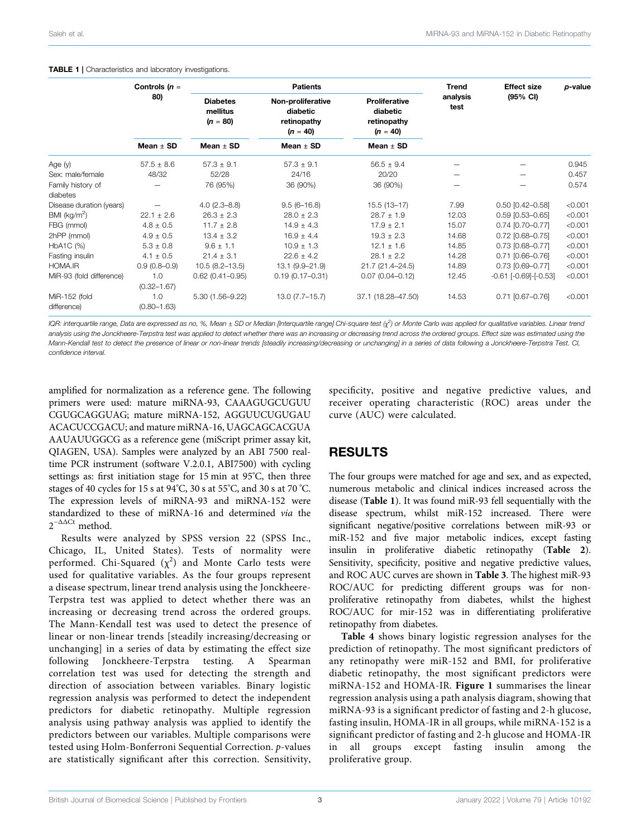#### <span id="page-2-0"></span>TABLE 1 | Characteristics and laboratory investigations.

|                          | Controls $(n =$        |                                           | <b>Patients</b>                                            |                                                               | Trend            | <b>Effect size</b>          | p-value |
|--------------------------|------------------------|-------------------------------------------|------------------------------------------------------------|---------------------------------------------------------------|------------------|-----------------------------|---------|
|                          | 80)<br>Mean $\pm$ SD   | <b>Diabetes</b><br>mellitus<br>$(n = 80)$ | Non-proliferative<br>diabetic<br>retinopathy<br>$(n = 40)$ | <b>Proliferative</b><br>diabetic<br>retinopathy<br>$(n = 40)$ | analysis<br>test | (95% CI)                    |         |
|                          |                        | Mean $\pm$ SD                             | Mean $\pm$ SD                                              | Mean $\pm$ SD                                                 |                  |                             |         |
| Age (y)                  | $57.5 \pm 8.6$         | $57.3 \pm 9.1$                            | $57.3 \pm 9.1$                                             | $56.5 \pm 9.4$                                                |                  |                             | 0.945   |
| Sex: male/female         | 48/32                  | 52/28                                     | 24/16                                                      | 20/20                                                         |                  |                             | 0.457   |
| Family history of        |                        | 76 (95%)                                  | 36 (90%)                                                   | 36 (90%)                                                      |                  |                             | 0.574   |
| diabetes                 |                        |                                           |                                                            |                                                               |                  |                             |         |
| Disease duration (years) |                        | $4.0(2.3 - 8.8)$                          | $9.5(6 - 16.8)$                                            | $15.5(13-17)$                                                 | 7.99             | $0.50$ [0.42-0.58]          | < 0.001 |
| BMI (kg/m <sup>2</sup> ) | $22.1 \pm 2.6$         | $26.3 \pm 2.3$                            | $28.0 \pm 2.3$                                             | $28.7 \pm 1.9$                                                | 12.03            | $0.59$ $[0.53 - 0.65]$      | < 0.001 |
| FBG (mmol)               | $4.8 \pm 0.5$          | $11.7 \pm 2.8$                            | $14.9 \pm 4.3$                                             | $17.9 \pm 2.1$                                                | 15.07            | $0.74$ [0.70-0.77]          | < 0.001 |
| 2hPP (mmol)              | $4.9 \pm 0.5$          | $13.4 \pm 3.2$                            | $16.9 \pm 4.4$                                             | $19.3 \pm 2.3$                                                | 14.68            | $0.72$ [0.68-0.75]          | < 0.001 |
| HbA1C (%)                | $5.3 \pm 0.8$          | $9.6 \pm 1.1$                             | $10.9 \pm 1.3$                                             | $12.1 \pm 1.6$                                                | 14.85            | $0.73$ [0.68-0.77]          | < 0.001 |
| Fasting insulin          | $4.1 \pm 0.5$          | $21.4 \pm 3.1$                            | $22.6 \pm 4.2$                                             | $28.1 \pm 2.2$                                                | 14.28            | $0.71$ [0.66-0.76]          | < 0.001 |
| HOMA.IR                  | $0.9(0.8-0.9)$         | $10.5(8.2 - 13.5)$                        | 13.1 (9.9-21.9)                                            | 21.7 (21.4-24.5)                                              | 14.89            | $0.73$ [0.69-0.77]          | < 0.001 |
| MiR-93 (fold difference) | 1.0<br>$(0.32 - 1.67)$ | $0.62$ (0.41-0.95)                        | $0.19(0.17 - 0.31)$                                        | $0.07$ (0.04-0.12)                                            | 12.45            | $-0.61$ $[-0.69]$ $[-0.53]$ | < 0.001 |
| MiR-152 (fold            | 1.0                    | 5.30 (1.56-9.22)                          | $13.0 (7.7 - 15.7)$                                        | 37.1 (18.28-47.50)                                            | 14.53            | $0.71$ [0.67-0.76]          | < 0.001 |
| difference)              | $(0.80 - 1.63)$        |                                           |                                                            |                                                               |                  |                             |         |

IQR: interquartile range, Data are expressed as no, %, Mean  $\pm$  SD or Median [Interquartile range] Chi-square test (χ<sup>2</sup>) or Monte Carlo was applied for qualitative variables. Linear trend analysis using the Jonckheere-Terpstra test was applied to detect whether there was an increasing or decreasing trend across the ordered groups. Effect size was estimated using the Mann-Kendall test to detect the presence of linear or non-linear trends [steadily increasing/decreasing or unchanging] in a series of data following a Jonckheere-Terpstra Test. CI, confidence interval.

amplified for normalization as a reference gene. The following primers were used: mature miRNA-93, CAAAGUGCUGUU CGUGCAGGUAG; mature miRNA-152, AGGUUCUGUGAU ACACUCCGACU; and mature miRNA-16, UAGCAGCACGUA AAUAUUGGCG as a reference gene (miScript primer assay kit, QIAGEN, USA). Samples were analyzed by an ABI 7500 realtime PCR instrument (software V.2.0.1, ABI7500) with cycling settings as: first initiation stage for 15 min at 95° C, then three stages of 40 cycles for 15 s at 94°C, 30 s at 55°C, and 30 s at 70 °C. The expression levels of miRNA-93 and miRNA-152 were standardized to these of miRNA-16 and determined via the  $2^{-\Delta\Delta Ct}$  method.

Results were analyzed by SPSS version 22 (SPSS Inc., Chicago, IL, United States). Tests of normality were performed. Chi-Squared  $(\chi^2)$  and Monte Carlo tests were used for qualitative variables. As the four groups represent a disease spectrum, linear trend analysis using the Jonckheere-Terpstra test was applied to detect whether there was an increasing or decreasing trend across the ordered groups. The Mann-Kendall test was used to detect the presence of linear or non-linear trends [steadily increasing/decreasing or unchanging] in a series of data by estimating the effect size following Jonckheere-Terpstra testing. A Spearman correlation test was used for detecting the strength and direction of association between variables. Binary logistic regression analysis was performed to detect the independent predictors for diabetic retinopathy. Multiple regression analysis using pathway analysis was applied to identify the predictors between our variables. Multiple comparisons were tested using Holm-Bonferroni Sequential Correction. p-values are statistically significant after this correction. Sensitivity,

specificity, positive and negative predictive values, and receiver operating characteristic (ROC) areas under the curve (AUC) were calculated.

## RESULTS

The four groups were matched for age and sex, and as expected, numerous metabolic and clinical indices increased across the disease ([Table 1](#page-2-0)). It was found miR-93 fell sequentially with the disease spectrum, whilst miR-152 increased. There were significant negative/positive correlations between miR-93 or miR-152 and five major metabolic indices, except fasting insulin in proliferative diabetic retinopathy ([Table 2](#page-3-0)). Sensitivity, specificity, positive and negative predictive values, and ROC AUC curves are shown in [Table 3](#page-3-1). The highest miR-93 ROC/AUC for predicting different groups was for nonproliferative retinopathy from diabetes, whilst the highest ROC/AUC for mir-152 was in differentiating proliferative retinopathy from diabetes.

[Table 4](#page-3-2) shows binary logistic regression analyses for the prediction of retinopathy. The most significant predictors of any retinopathy were miR-152 and BMI, for proliferative diabetic retinopathy, the most significant predictors were miRNA-152 and HOMA-IR. [Figure 1](#page-4-0) summarises the linear regression analysis using a path analysis diagram, showing that miRNA-93 is a significant predictor of fasting and 2-h glucose, fasting insulin, HOMA-IR in all groups, while miRNA-152 is a significant predictor of fasting and 2-h glucose and HOMA-IR in all groups except fasting insulin among the proliferative group.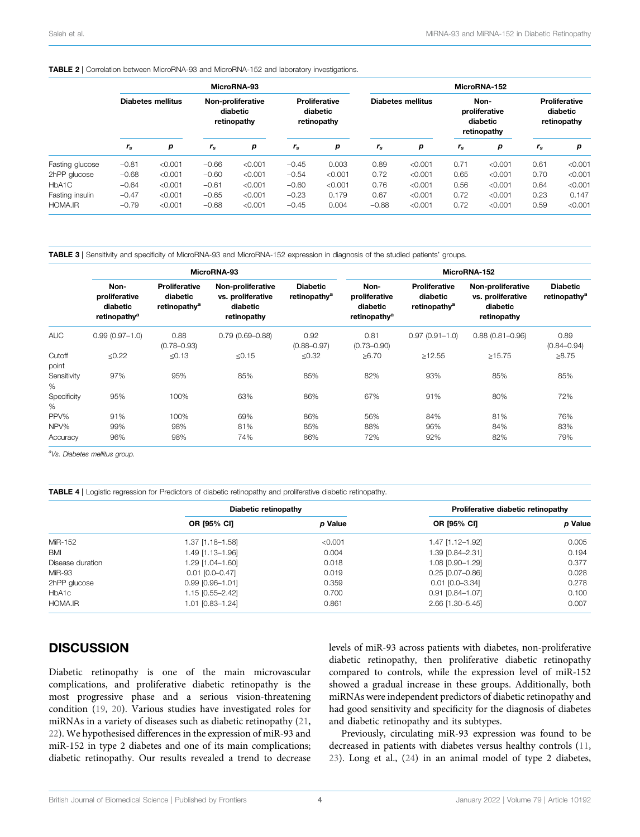#### <span id="page-3-0"></span>TABLE 2 | Correlation between MicroRNA-93 and MicroRNA-152 and laboratory investigations.

|                 | MicroRNA-93              |         |                                              |         |                                                 |         | MicroRNA-152             |         |                                                  |         |                                                 |         |
|-----------------|--------------------------|---------|----------------------------------------------|---------|-------------------------------------------------|---------|--------------------------|---------|--------------------------------------------------|---------|-------------------------------------------------|---------|
|                 | <b>Diabetes mellitus</b> |         | Non-proliferative<br>diabetic<br>retinopathy |         | <b>Proliferative</b><br>diabetic<br>retinopathy |         | <b>Diabetes mellitus</b> |         | Non-<br>proliferative<br>diabetic<br>retinopathy |         | <b>Proliferative</b><br>diabetic<br>retinopathy |         |
|                 | $r_{\rm s}$              | р       | $r_{\rm s}$                                  | p       | $r_{\rm s}$                                     | р       | $r_{\rm s}$              | р       | $r_{\rm s}$                                      | p       | $r_{\rm s}$                                     | р       |
| Fasting glucose | $-0.81$                  | < 0.001 | $-0.66$                                      | < 0.001 | $-0.45$                                         | 0.003   | 0.89                     | < 0.001 | 0.71                                             | < 0.001 | 0.61                                            | < 0.001 |
| 2hPP glucose    | $-0.68$                  | < 0.001 | $-0.60$                                      | < 0.001 | $-0.54$                                         | < 0.001 | 0.72                     | < 0.001 | 0.65                                             | < 0.001 | 0.70                                            | < 0.001 |
| HbA1C           | $-0.64$                  | < 0.001 | $-0.61$                                      | < 0.001 | $-0.60$                                         | < 0.001 | 0.76                     | < 0.001 | 0.56                                             | < 0.001 | 0.64                                            | < 0.001 |
| Fasting insulin | $-0.47$                  | < 0.001 | $-0.65$                                      | < 0.001 | $-0.23$                                         | 0.179   | 0.67                     | < 0.001 | 0.72                                             | < 0.001 | 0.23                                            | 0.147   |
| HOMA.IR         | $-0.79$                  | < 0.001 | $-0.68$                                      | < 0.001 | $-0.45$                                         | 0.004   | $-0.88$                  | < 0.001 | 0.72                                             | < 0.001 | 0.59                                            | < 0.001 |

<span id="page-3-1"></span>TABLE 3 | Sensitivity and specificity of MicroRNA-93 and MicroRNA-152 expression in diagnosis of the studied patients' groups.

|                          |                                                               |                                                              | MicroRNA-93                                                       |                                             | MicroRNA-152                                                  |                                                              |                                                                   |                                             |  |
|--------------------------|---------------------------------------------------------------|--------------------------------------------------------------|-------------------------------------------------------------------|---------------------------------------------|---------------------------------------------------------------|--------------------------------------------------------------|-------------------------------------------------------------------|---------------------------------------------|--|
|                          | Non-<br>proliferative<br>diabetic<br>retinopathy <sup>a</sup> | <b>Proliferative</b><br>diabetic<br>retinopathy <sup>a</sup> | Non-proliferative<br>vs. proliferative<br>diabetic<br>retinopathy | <b>Diabetic</b><br>retinopathy <sup>a</sup> | Non-<br>proliferative<br>diabetic<br>retinopathy <sup>a</sup> | <b>Proliferative</b><br>diabetic<br>retinopathy <sup>a</sup> | Non-proliferative<br>vs. proliferative<br>diabetic<br>retinopathy | <b>Diabetic</b><br>retinopathy <sup>a</sup> |  |
| <b>AUC</b>               | $0.99(0.97 - 1.0)$                                            | 0.88<br>$(0.78 - 0.93)$                                      | $0.79(0.69 - 0.88)$                                               | 0.92<br>$(0.88 - 0.97)$                     | 0.81<br>$(0.73 - 0.90)$                                       | $0.97(0.91 - 1.0)$                                           | $0.88(0.81 - 0.96)$                                               | 0.89<br>$(0.84 - 0.94)$                     |  |
| Cutoff<br>point          | $≤0.22$                                                       | $\le 0.13$                                                   | $\le 0.15$                                                        | $≤0.32$                                     | $\geq 6.70$                                                   | $\geq$ 12.55                                                 | >15.75                                                            | >8.75                                       |  |
| Sensitivity<br>%         | 97%                                                           | 95%                                                          | 85%                                                               | 85%                                         | 82%                                                           | 93%                                                          | 85%                                                               | 85%                                         |  |
| Specificity<br>%         | 95%                                                           | 100%                                                         | 63%                                                               | 86%                                         | 67%                                                           | 91%                                                          | 80%                                                               | 72%                                         |  |
| PPV%<br>NPV%<br>Accuracy | 91%<br>99%<br>96%                                             | 100%<br>98%<br>98%                                           | 69%<br>81%<br>74%                                                 | 86%<br>85%<br>86%                           | 56%<br>88%<br>72%                                             | 84%<br>96%<br>92%                                            | 81%<br>84%<br>82%                                                 | 76%<br>83%<br>79%                           |  |

aVs. Diabetes mellitus group.

<span id="page-3-2"></span>

|                  | Diabetic retinopathy |         | Proliferative diabetic retinopathy |         |  |
|------------------|----------------------|---------|------------------------------------|---------|--|
|                  | <b>OR [95% CI]</b>   | p Value | <b>OR [95% CI]</b>                 | p Value |  |
| MiR-152          | 1.37 [1.18-1.58]     | < 0.001 | 1.47 [1.12-1.92]                   | 0.005   |  |
| BMI              | 1.49 [1.13-1.96]     | 0.004   | 1.39 [0.84-2.31]                   | 0.194   |  |
| Disease duration | 1.29 [1.04-1.60]     | 0.018   | 1.08 [0.90-1.29]                   | 0.377   |  |
| MiR-93           | $0.01$ [0.0-0.47]    | 0.019   | $0.25$ [0.07-0.86]                 | 0.028   |  |
| 2hPP glucose     | $0.99$ [0.96-1.01]   | 0.359   | $0.01$ $[0.0 - 3.34]$              | 0.278   |  |
| HbA1c            | 1.15 [0.55-2.42]     | 0.700   | $0.91$ [0.84-1.07]                 | 0.100   |  |
| HOMA.IR          | 1.01 [0.83-1.24]     | 0.861   | 2.66 [1.30-5.45]                   | 0.007   |  |

## **DISCUSSION**

Diabetic retinopathy is one of the main microvascular complications, and proliferative diabetic retinopathy is the most progressive phase and a serious vision-threatening condition ([19](#page-5-18), [20](#page-5-19)). Various studies have investigated roles for miRNAs in a variety of diseases such as diabetic retinopathy ([21](#page-5-20), [22](#page-5-21)). We hypothesised differences in the expression of miR-93 and miR-152 in type 2 diabetes and one of its main complications; diabetic retinopathy. Our results revealed a trend to decrease

levels of miR-93 across patients with diabetes, non-proliferative diabetic retinopathy, then proliferative diabetic retinopathy compared to controls, while the expression level of miR-152 showed a gradual increase in these groups. Additionally, both miRNAs were independent predictors of diabetic retinopathy and had good sensitivity and specificity for the diagnosis of diabetes and diabetic retinopathy and its subtypes.

Previously, circulating miR-93 expression was found to be decreased in patients with diabetes versus healthy controls ([11,](#page-5-10) [23](#page-6-0)). Long et al., [\(24](#page-6-1)) in an animal model of type 2 diabetes,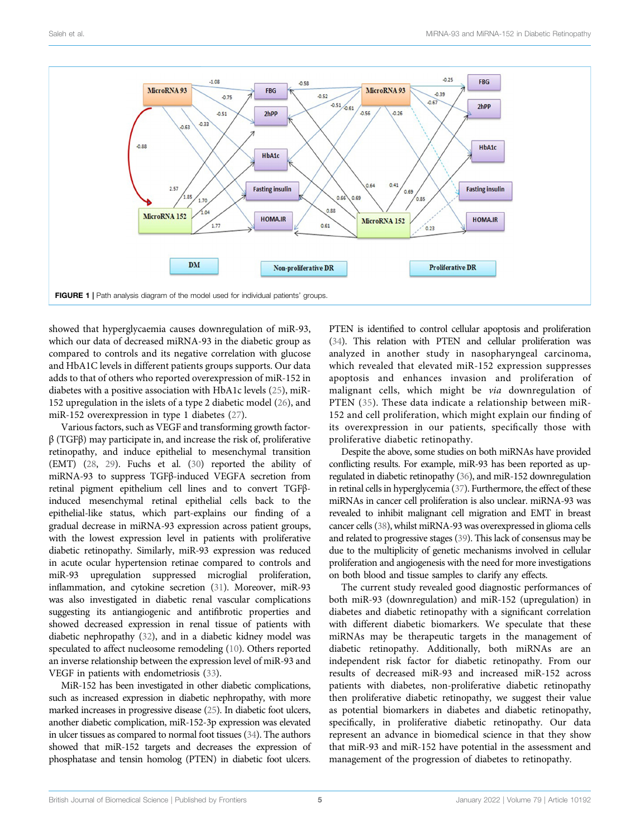

<span id="page-4-0"></span>showed that hyperglycaemia causes downregulation of miR-93, which our data of decreased miRNA-93 in the diabetic group as compared to controls and its negative correlation with glucose and HbA1C levels in different patients groups supports. Our data adds to that of others who reported overexpression of miR-152 in diabetes with a positive association with HbA1c levels [\(25](#page-6-2)), miR-152 upregulation in the islets of a type 2 diabetic model [\(26](#page-6-3)), and miR-152 overexpression in type 1 diabetes [\(27\)](#page-6-4).

Various factors, such as VEGF and transforming growth factor $β$  (TGF $β$ ) may participate in, and increase the risk of, proliferative retinopathy, and induce epithelial to mesenchymal transition (EMT) ([28](#page-6-5), [29\)](#page-6-6). Fuchs et al. [\(30\)](#page-6-7) reported the ability of miRNA-93 to suppress TGFβ-induced VEGFA secretion from retinal pigment epithelium cell lines and to convert TGFβinduced mesenchymal retinal epithelial cells back to the epithelial-like status, which part-explains our finding of a gradual decrease in miRNA-93 expression across patient groups, with the lowest expression level in patients with proliferative diabetic retinopathy. Similarly, miR-93 expression was reduced in acute ocular hypertension retinae compared to controls and miR-93 upregulation suppressed microglial proliferation, inflammation, and cytokine secretion [\(31\)](#page-6-8). Moreover, miR-93 was also investigated in diabetic renal vascular complications suggesting its antiangiogenic and antifibrotic properties and showed decreased expression in renal tissue of patients with diabetic nephropathy [\(32](#page-6-9)), and in a diabetic kidney model was speculated to affect nucleosome remodeling [\(10](#page-5-9)). Others reported an inverse relationship between the expression level of miR-93 and VEGF in patients with endometriosis [\(33\)](#page-6-10).

MiR-152 has been investigated in other diabetic complications, such as increased expression in diabetic nephropathy, with more marked increases in progressive disease ([25](#page-6-2)). In diabetic foot ulcers, another diabetic complication, miR-152-3p expression was elevated in ulcer tissues as compared to normal foot tissues ([34](#page-6-11)). The authors showed that miR-152 targets and decreases the expression of phosphatase and tensin homolog (PTEN) in diabetic foot ulcers.

PTEN is identified to control cellular apoptosis and proliferation [\(34\)](#page-6-11). This relation with PTEN and cellular proliferation was analyzed in another study in nasopharyngeal carcinoma, which revealed that elevated miR-152 expression suppresses apoptosis and enhances invasion and proliferation of malignant cells, which might be via downregulation of PTEN ([35\)](#page-6-12). These data indicate a relationship between miR-152 and cell proliferation, which might explain our finding of its overexpression in our patients, specifically those with proliferative diabetic retinopathy.

Despite the above, some studies on both miRNAs have provided conflicting results. For example, miR-93 has been reported as upregulated in diabetic retinopathy ([36](#page-6-13)), and miR-152 downregulation in retinal cells in hyperglycemia [\(37\)](#page-6-14). Furthermore, the effect of these miRNAs in cancer cell proliferation is also unclear. miRNA-93 was revealed to inhibit malignant cell migration and EMT in breast cancer cells [\(38\)](#page-6-15), whilst miRNA-93 was overexpressed in glioma cells and related to progressive stages [\(39\)](#page-6-16). This lack of consensus may be due to the multiplicity of genetic mechanisms involved in cellular proliferation and angiogenesis with the need for more investigations on both blood and tissue samples to clarify any effects.

The current study revealed good diagnostic performances of both miR-93 (downregulation) and miR-152 (upregulation) in diabetes and diabetic retinopathy with a significant correlation with different diabetic biomarkers. We speculate that these miRNAs may be therapeutic targets in the management of diabetic retinopathy. Additionally, both miRNAs are an independent risk factor for diabetic retinopathy. From our results of decreased miR-93 and increased miR-152 across patients with diabetes, non-proliferative diabetic retinopathy then proliferative diabetic retinopathy, we suggest their value as potential biomarkers in diabetes and diabetic retinopathy, specifically, in proliferative diabetic retinopathy. Our data represent an advance in biomedical science in that they show that miR-93 and miR-152 have potential in the assessment and management of the progression of diabetes to retinopathy.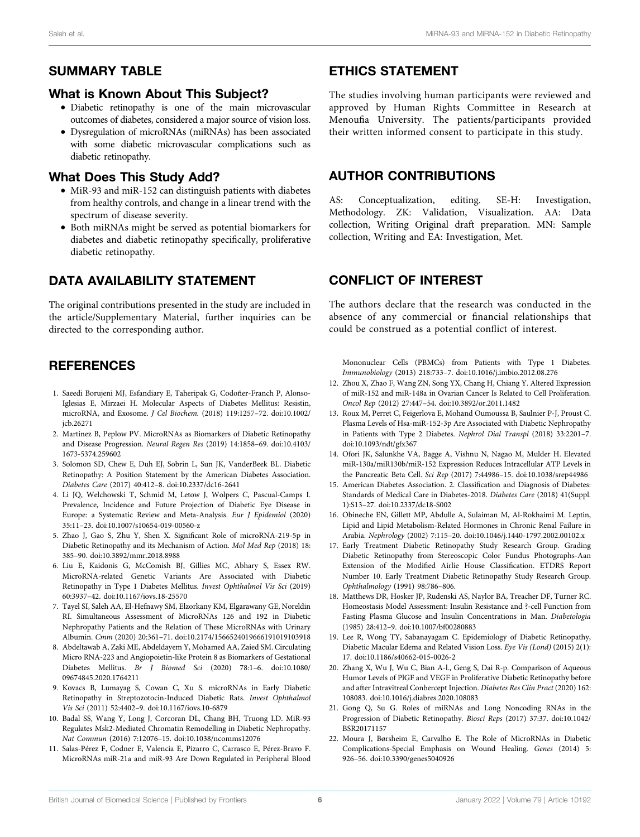## What is Known About This Subject?

- Diabetic retinopathy is one of the main microvascular outcomes of diabetes, considered a major source of vision loss.
- Dysregulation of microRNAs (miRNAs) has been associated with some diabetic microvascular complications such as diabetic retinopathy.

# What Does This Study Add?

- MiR-93 and miR-152 can distinguish patients with diabetes from healthy controls, and change in a linear trend with the spectrum of disease severity.
- Both miRNAs might be served as potential biomarkers for diabetes and diabetic retinopathy specifically, proliferative diabetic retinopathy.

# DATA AVAILABILITY STATEMENT

The original contributions presented in the study are included in the article/Supplementary Material, further inquiries can be directed to the corresponding author.

# **REFERENCES**

- <span id="page-5-0"></span>1. Saeedi Borujeni MJ, Esfandiary E, Taheripak G, Codoñer-Franch P, Alonso-Iglesias E, Mirzaei H. Molecular Aspects of Diabetes Mellitus: Resistin, microRNA, and Exosome. J Cel Biochem. (2018) 119:1257–72. doi:[10.1002/](https://doi.org/10.1002/jcb.26271) [jcb.26271](https://doi.org/10.1002/jcb.26271)
- <span id="page-5-1"></span>2. Martinez B, Peplow PV. MicroRNAs as Biomarkers of Diabetic Retinopathy and Disease Progression. Neural Regen Res (2019) 14:1858–69. doi:[10.4103/](https://doi.org/10.4103/1673-5374.259602) [1673-5374.259602](https://doi.org/10.4103/1673-5374.259602)
- <span id="page-5-2"></span>3. Solomon SD, Chew E, Duh EJ, Sobrin L, Sun JK, VanderBeek BL. Diabetic Retinopathy: A Position Statement by the American Diabetes Association. Diabetes Care (2017) 40:412–8. doi:[10.2337/dc16-2641](https://doi.org/10.2337/dc16-2641)
- <span id="page-5-3"></span>4. Li JQ, Welchowski T, Schmid M, Letow J, Wolpers C, Pascual-Camps I. Prevalence, Incidence and Future Projection of Diabetic Eye Disease in Europe: a Systematic Review and Meta-Analysis. Eur J Epidemiol (2020) 35:11–23. doi[:10.1007/s10654-019-00560-z](https://doi.org/10.1007/s10654-019-00560-z)
- <span id="page-5-4"></span>5. Zhao J, Gao S, Zhu Y, Shen X. Significant Role of microRNA-219-5p in Diabetic Retinopathy and its Mechanism of Action. Mol Med Rep (2018) 18: 385–90. doi[:10.3892/mmr.2018.8988](https://doi.org/10.3892/mmr.2018.8988)
- <span id="page-5-5"></span>6. Liu E, Kaidonis G, McComish BJ, Gillies MC, Abhary S, Essex RW. MicroRNA-related Genetic Variants Are Associated with Diabetic Retinopathy in Type 1 Diabetes Mellitus. Invest Ophthalmol Vis Sci (2019) 60:3937–42. doi:[10.1167/iovs.18-25570](https://doi.org/10.1167/iovs.18-25570)
- <span id="page-5-6"></span>7. Tayel SI, Saleh AA, El-Hefnawy SM, Elzorkany KM, Elgarawany GE, Noreldin RI. Simultaneous Assessment of MicroRNAs 126 and 192 in Diabetic Nephropathy Patients and the Relation of These MicroRNAs with Urinary Albumin. Cmm (2020) 20:361–71. doi:[10.2174/1566524019666191019103918](https://doi.org/10.2174/1566524019666191019103918)
- <span id="page-5-7"></span>8. Abdeltawab A, Zaki ME, Abdeldayem Y, Mohamed AA, Zaied SM. Circulating Micro RNA-223 and Angiopoietin-like Protein 8 as Biomarkers of Gestational Diabetes Mellitus. Br J Biomed Sci (2020) 78:1–6. doi:[10.1080/](https://doi.org/10.1080/09674845.2020.1764211) [09674845.2020.1764211](https://doi.org/10.1080/09674845.2020.1764211)
- <span id="page-5-8"></span>9. Kovacs B, Lumayag S, Cowan C, Xu S. microRNAs in Early Diabetic Retinopathy in Streptozotocin-Induced Diabetic Rats. Invest Ophthalmol Vis Sci (2011) 52:4402–9. doi:[10.1167/iovs.10-6879](https://doi.org/10.1167/iovs.10-6879)
- <span id="page-5-9"></span>10. Badal SS, Wang Y, Long J, Corcoran DL, Chang BH, Truong LD. MiR-93 Regulates Msk2-Mediated Chromatin Remodelling in Diabetic Nephropathy. Nat Commun (2016) 7:12076–15. doi[:10.1038/ncomms12076](https://doi.org/10.1038/ncomms12076)
- <span id="page-5-10"></span>11. Salas-Pérez F, Codner E, Valencia E, Pizarro C, Carrasco E, Pérez-Bravo F. MicroRNAs miR-21a and miR-93 Are Down Regulated in Peripheral Blood

# ETHICS STATEMENT

The studies involving human participants were reviewed and approved by Human Rights Committee in Research at Menoufia University. The patients/participants provided their written informed consent to participate in this study.

## AUTHOR CONTRIBUTIONS

AS: Conceptualization, editing. SE-H: Investigation, Methodology. ZK: Validation, Visualization. AA: Data collection, Writing Original draft preparation. MN: Sample collection, Writing and EA: Investigation, Met.

# CONFLICT OF INTEREST

The authors declare that the research was conducted in the absence of any commercial or financial relationships that could be construed as a potential conflict of interest.

Mononuclear Cells (PBMCs) from Patients with Type 1 Diabetes. Immunobiology (2013) 218:733–7. doi[:10.1016/j.imbio.2012.08.276](https://doi.org/10.1016/j.imbio.2012.08.276)

- <span id="page-5-11"></span>12. Zhou X, Zhao F, Wang ZN, Song YX, Chang H, Chiang Y. Altered Expression of miR-152 and miR-148a in Ovarian Cancer Is Related to Cell Proliferation. Oncol Rep (2012) 27:447–54. doi:[10.3892/or.2011.1482](https://doi.org/10.3892/or.2011.1482)
- <span id="page-5-12"></span>13. Roux M, Perret C, Feigerlova E, Mohand Oumoussa B, Saulnier P-J, Proust C. Plasma Levels of Hsa-miR-152-3p Are Associated with Diabetic Nephropathy in Patients with Type 2 Diabetes. Nephrol Dial Transpl (2018) 33:2201–7. doi:[10.1093/ndt/gfx367](https://doi.org/10.1093/ndt/gfx367)
- <span id="page-5-13"></span>14. Ofori JK, Salunkhe VA, Bagge A, Vishnu N, Nagao M, Mulder H. Elevated miR-130a/miR130b/miR-152 Expression Reduces Intracellular ATP Levels in the Pancreatic Beta Cell. Sci Rep (2017) 7:44986–15. doi[:10.1038/srep44986](https://doi.org/10.1038/srep44986)
- <span id="page-5-14"></span>15. American Diabetes Association. 2. Classification and Diagnosis of Diabetes: Standards of Medical Care in Diabetes-2018. Diabetes Care (2018) 41(Suppl. 1):S13–27. doi[:10.2337/dc18-S002](https://doi.org/10.2337/dc18-S002)
- <span id="page-5-15"></span>16. Obineche EN, Gillett MP, Abdulle A, Sulaiman M, Al-Rokhaimi M. Leptin, Lipid and Lipid Metabolism-Related Hormones in Chronic Renal Failure in Arabia. Nephrology (2002) 7:115–20. doi[:10.1046/j.1440-1797.2002.00102.x](https://doi.org/10.1046/j.1440-1797.2002.00102.x)
- <span id="page-5-16"></span>17. Early Treatment Diabetic Retinopathy Study Research Group. Grading Diabetic Retinopathy from Stereoscopic Color Fundus Photographs-Aan Extension of the Modified Airlie House Classification. ETDRS Report Number 10. Early Treatment Diabetic Retinopathy Study Research Group. Ophthalmology (1991) 98:786–806.
- <span id="page-5-17"></span>18. Matthews DR, Hosker JP, Rudenski AS, Naylor BA, Treacher DF, Turner RC. Homeostasis Model Assessment: Insulin Resistance and ?-cell Function from Fasting Plasma Glucose and Insulin Concentrations in Man. Diabetologia (1985) 28:412–9. doi:[10.1007/bf00280883](https://doi.org/10.1007/bf00280883)
- <span id="page-5-18"></span>19. Lee R, Wong TY, Sabanayagam C. Epidemiology of Diabetic Retinopathy, Diabetic Macular Edema and Related Vision Loss. Eye Vis (Lond) (2015) 2(1): 17. doi[:10.1186/s40662-015-0026-2](https://doi.org/10.1186/s40662-015-0026-2)
- <span id="page-5-19"></span>20. Zhang X, Wu J, Wu C, Bian A-l., Geng S, Dai R-p. Comparison of Aqueous Humor Levels of PlGF and VEGF in Proliferative Diabetic Retinopathy before and after Intravitreal Conbercept Injection. Diabetes Res Clin Pract (2020) 162: 108083. doi:[10.1016/j.diabres.2020.108083](https://doi.org/10.1016/j.diabres.2020.108083)
- <span id="page-5-20"></span>21. Gong Q, Su G. Roles of miRNAs and Long Noncoding RNAs in the Progression of Diabetic Retinopathy. Biosci Reps (2017) 37:37. doi[:10.1042/](https://doi.org/10.1042/BSR20171157) [BSR20171157](https://doi.org/10.1042/BSR20171157)
- <span id="page-5-21"></span>22. Moura J, Børsheim E, Carvalho E. The Role of MicroRNAs in Diabetic Complications-Special Emphasis on Wound Healing. Genes (2014) 5: 926–56. doi:[10.3390/genes5040926](https://doi.org/10.3390/genes5040926)